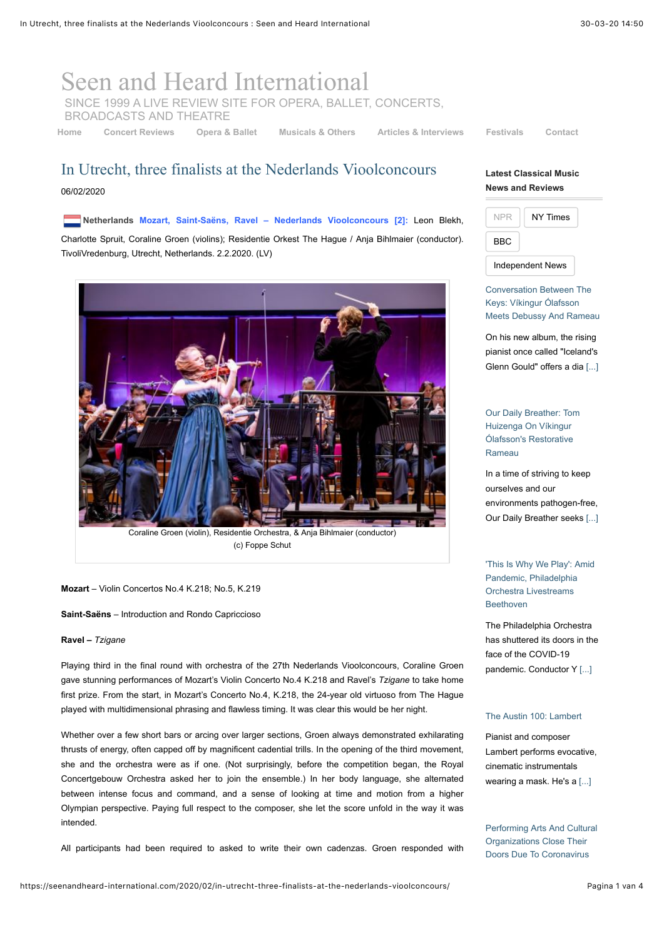# [Seen and Heard International](https://seenandheard-international.com/)

SINCE 1999 A LIVE REVIEW SITE FOR OPERA, BALLET, CONCERTS,

BROADCASTS AND THEATRE

**[Home](https://seenandheard-international.com/) [Concert Reviews](https://seenandheard-international.com/category/concert-reviews/) [Opera & Ballet](https://seenandheard-international.com/category/opera-and-ballet-reviews/) [Musicals & Others](https://seenandheard-international.com/category/other-reviews-and-articles/) [Articles & Interviews](https://seenandheard-international.com/category/news-features-and-interviews/) [Festivals](https://seenandheard-international.com/category/festivals/) [Contact](https://seenandheard-international.com/2018/08/new-how-to-contact-seen-and-heard-international/)**

## In Utrecht, three finalists at the Nederlands Vioolconcours 06/02/2020

**Netherlands Mozart, Saint-Saëns, Ravel – Nederlands Vioolconcours [2]:** Leon Blekh, Charlotte Spruit, Coraline Groen (violins); Residentie Orkest The Hague / Anja Bihlmaier (conductor). TivoliVredenburg, Utrecht, Netherlands. 2.2.2020. (LV)



(c) Foppe Schut

#### **Mozart** – Violin Concertos No.4 K.218; No.5, K.219

**Saint-Saëns** – Introduction and Rondo Capriccioso

#### **Ravel –** *Tzigane*

Playing third in the final round with orchestra of the 27th Nederlands Vioolconcours, Coraline Groen gave stunning performances of Mozart's Violin Concerto No.4 K.218 and Ravel's *Tzigane* to take home first prize. From the start, in Mozart's Concerto No.4, K.218, the 24-year old virtuoso from The Hague played with multidimensional phrasing and flawless timing. It was clear this would be her night.

Whether over a few short bars or arcing over larger sections, Groen always demonstrated exhilarating thrusts of energy, often capped off by magnificent cadential trills. In the opening of the third movement, she and the orchestra were as if one. (Not surprisingly, before the competition began, the Royal Concertgebouw Orchestra asked her to join the ensemble.) In her body language, she alternated between intense focus and command, and a sense of looking at time and motion from a higher Olympian perspective. Paying full respect to the composer, she let the score unfold in the way it was intended.

All participants had been required to asked to write their own cadenzas. Groen responded with

### **Latest Classical Music News and Reviews**



Conversation Between The Keys: Víkingur Ólafsson [Meets Debussy And Rameau](https://www.npr.org/sections/deceptivecadence/2020/03/27/820669259/vikingur-olafsson-debussy-rameau-album-interview?utm_medium=RSS&utm_campaign=classical)

On his new album, the rising pianist once called "Iceland's Glenn Gould" offers a dia [\[...\]](https://www.npr.org/sections/deceptivecadence/2020/03/27/820669259/vikingur-olafsson-debussy-rameau-album-interview?utm_medium=RSS&utm_campaign=classical)

[Our Daily Breather: Tom](https://www.npr.org/2020/03/20/817894271/our-daily-breather-tom-huizenga-on-vikingur-olafssons-restorative-rameau?utm_medium=RSS&utm_campaign=classical) Huizenga On Víkingur Ólafsson's Restorative Rameau

In a time of striving to keep ourselves and our environments pathogen-free, Our Daily Breather seeks [\[...\]](https://www.npr.org/2020/03/20/817894271/our-daily-breather-tom-huizenga-on-vikingur-olafssons-restorative-rameau?utm_medium=RSS&utm_campaign=classical)

['This Is Why We Play': Amid](https://www.npr.org/2020/03/19/817760744/this-is-why-we-play-amid-pandemic-philadelphia-orchestra-livestreams-beethoven?utm_medium=RSS&utm_campaign=classical) Pandemic, Philadelphia Orchestra Livestreams Beethoven

The Philadelphia Orchestra has shuttered its doors in the face of the COVID-19 pandemic. Conductor Y [\[...\]](https://www.npr.org/2020/03/19/817760744/this-is-why-we-play-amid-pandemic-philadelphia-orchestra-livestreams-beethoven?utm_medium=RSS&utm_campaign=classical)

#### [The Austin 100: Lambert](https://www.npr.org/2020/03/17/813713160/the-austin-100-lambert?utm_medium=RSS&utm_campaign=classical)

Pianist and composer Lambert performs evocative, cinematic instrumentals wearing a mask. He's a [\[...\]](https://www.npr.org/2020/03/17/813713160/the-austin-100-lambert?utm_medium=RSS&utm_campaign=classical)

[Performing Arts And Cultural](https://www.npr.org/2020/03/12/814992409/in-the-age-of-covid-19-event-cancellations-precipitate-a-large-economic-impact?utm_medium=RSS&utm_campaign=classical) Organizations Close Their Doors Due To Coronavirus